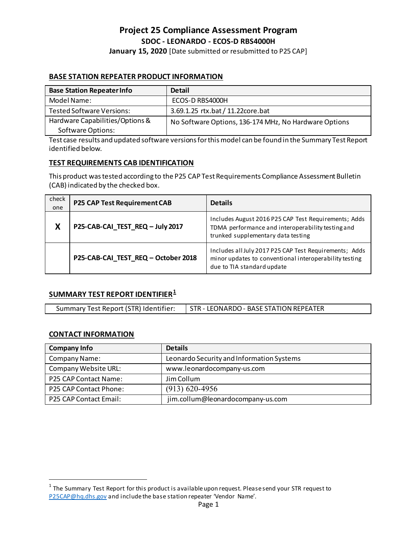# **Project 25 Compliance Assessment Program SDOC - LEONARDO - ECOS-D RBS4000H**

**January 15, 2020** [Date submitted or resubmitted to P25 CAP]

# **BASE STATION REPEATER PRODUCT INFORMATION**

| <b>Base Station Repeater Info</b> | <b>Detail</b>                                         |
|-----------------------------------|-------------------------------------------------------|
| Model Name:                       | ECOS-D RBS4000H                                       |
| <b>Tested Software Versions:</b>  | 3.69.1.25 rtx.bat / 11.22core.bat                     |
| Hardware Capabilities/Options &   | No Software Options, 136-174 MHz, No Hardware Options |
| <b>Software Options:</b>          |                                                       |

Test case results and updated software versions for this model can be found in the Summary Test Report identified below.

### **TEST REQUIREMENTS CAB IDENTIFICATION**

This product was tested according to the P25 CAP Test Requirements Compliance Assessment Bulletin (CAB) indicated by the checked box.

| check<br>one | P25 CAP Test Requirement CAB        | <b>Details</b>                                                                                                                                  |
|--------------|-------------------------------------|-------------------------------------------------------------------------------------------------------------------------------------------------|
| X            | P25-CAB-CAI_TEST_REQ - July 2017    | Includes August 2016 P25 CAP Test Requirements; Adds<br>TDMA performance and interoperability testing and<br>trunked supplementary data testing |
|              | P25-CAB-CAI_TEST_REQ - October 2018 | Includes all July 2017 P25 CAP Test Requirements; Adds<br>minor updates to conventional interoperability testing<br>due to TIA standard update  |

## **SUMMARY TEST REPORT IDENTIFIER[1](#page-0-0)**

| Summary Test Report (STR) Identifier: | STR - LEONARDO - BASE STATION REPEATER |
|---------------------------------------|----------------------------------------|

### **CONTACT INFORMATION**

| <b>Company Info</b>           | <b>Details</b>                            |
|-------------------------------|-------------------------------------------|
| Company Name:                 | Leonardo Security and Information Systems |
| Company Website URL:          | www.leonardocompany-us.com                |
| P25 CAP Contact Name:         | Jim Collum                                |
| <b>P25 CAP Contact Phone:</b> | $(913) 620 - 4956$                        |
| <b>P25 CAP Contact Email:</b> | jim.collum@leonardocompany-us.com         |

<span id="page-0-0"></span> $1$  The Summary Test Report for this product is available upon request. Please send your STR request to [P25CAP@hq.dhs.gov](mailto:P25CAP@hq.dhs.gov) and include the base station repeater 'Vendor Name'.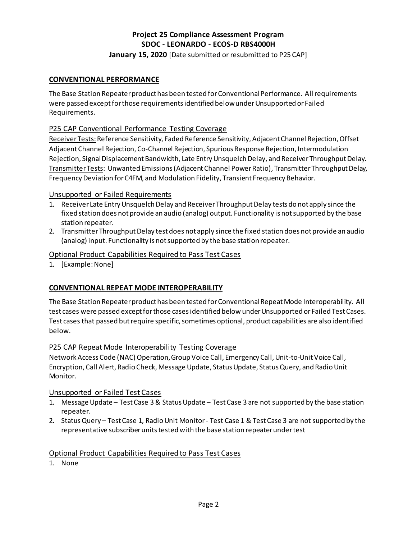# **Project 25 Compliance Assessment Program SDOC - LEONARDO - ECOS-D RBS4000H**

## **January 15, 2020** [Date submitted or resubmitted to P25 CAP]

### **CONVENTIONAL PERFORMANCE**

The Base Station Repeater product has been tested for Conventional Performance. All requirements were passed except for those requirementsidentified below under Unsupported or Failed Requirements.

### P25 CAP Conventional Performance Testing Coverage

Receiver Tests: Reference Sensitivity, Faded Reference Sensitivity, Adjacent Channel Rejection, Offset Adjacent Channel Rejection, Co-Channel Rejection, Spurious Response Rejection, Intermodulation Rejection, Signal Displacement Bandwidth, Late Entry Unsquelch Delay, and Receiver Throughput Delay. Transmitter Tests: Unwanted Emissions (Adjacent Channel Power Ratio), Transmitter Throughput Delay, Frequency Deviation for C4FM, and Modulation Fidelity, Transient Frequency Behavior.

### Unsupported or Failed Requirements

- 1. Receiver Late Entry Unsquelch Delay and Receiver Throughput Delay tests do not apply since the fixed station does not provide an audio (analog) output. Functionality is not supported by the base station repeater.
- 2. Transmitter Throughput Delay test does not apply since the fixed station does not provide an audio (analog) input. Functionality is not supported by the base station repeater.

### Optional Product Capabilities Required to Pass Test Cases

1. [Example: None]

### **CONVENTIONAL REPEAT MODE INTEROPERABILITY**

The Base Station Repeater product has been tested for Conventional Repeat Mode Interoperability. All test cases were passed except for those casesidentified below under Unsupported or Failed Test Cases. Test cases that passed but require specific, sometimes optional, product capabilities are also identified below.

#### P25 CAP Repeat Mode Interoperability Testing Coverage

Network Access Code (NAC) Operation, Group Voice Call, Emergency Call, Unit-to-Unit Voice Call, Encryption, Call Alert, Radio Check, Message Update, Status Update, Status Query, and Radio Unit Monitor.

#### Unsupported or Failed Test Cases

- 1. Message Update Test Case 3 & Status Update Test Case 3 are not supported by the base station repeater.
- 2. Status Query Test Case 1, Radio Unit Monitor Test Case 1 & Test Case 3 are not supported by the representative subscriber units tested with the base station repeater under test

#### Optional Product Capabilities Required to Pass Test Cases

1. None